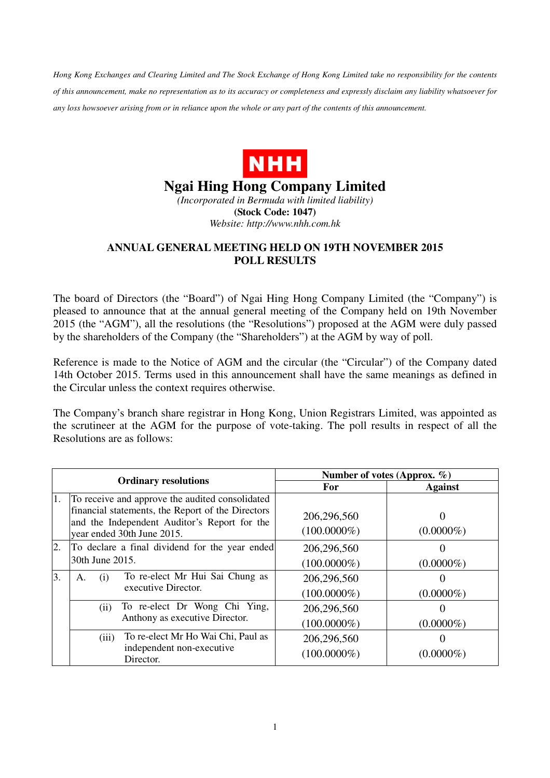*Hong Kong Exchanges and Clearing Limited and The Stock Exchange of Hong Kong Limited take no responsibility for the contents of this announcement, make no representation as to its accuracy or completeness and expressly disclaim any liability whatsoever for any loss howsoever arising from or in reliance upon the whole or any part of the contents of this announcement.* 



## **Ngai Hing Hong Company Limited**

*(Incorporated in Bermuda with limited liability)*  **(Stock Code: 1047)**  *Website: http://www.nhh.com.hk* 

## **ANNUAL GENERAL MEETING HELD ON 19TH NOVEMBER 2015 POLL RESULTS**

The board of Directors (the "Board") of Ngai Hing Hong Company Limited (the "Company") is pleased to announce that at the annual general meeting of the Company held on 19th November 2015 (the "AGM"), all the resolutions (the "Resolutions") proposed at the AGM were duly passed by the shareholders of the Company (the "Shareholders") at the AGM by way of poll.

Reference is made to the Notice of AGM and the circular (the "Circular") of the Company dated 14th October 2015. Terms used in this announcement shall have the same meanings as defined in the Circular unless the context requires otherwise.

The Company's branch share registrar in Hong Kong, Union Registrars Limited, was appointed as the scrutineer at the AGM for the purpose of vote-taking. The poll results in respect of all the Resolutions are as follows:

| <b>Ordinary resolutions</b> |                                                                                                                                                      | Number of votes (Approx. $\%$ ) |                |
|-----------------------------|------------------------------------------------------------------------------------------------------------------------------------------------------|---------------------------------|----------------|
|                             |                                                                                                                                                      | For                             | <b>Against</b> |
| 1.                          | To receive and approve the audited consolidated<br>financial statements, the Report of the Directors<br>and the Independent Auditor's Report for the | 206,296,560                     |                |
|                             | year ended 30th June 2015.                                                                                                                           | $(100.0000\%)$                  | $(0.0000\%)$   |
| 2.                          | To declare a final dividend for the year ended                                                                                                       | 206,296,560                     |                |
|                             | 30th June 2015.                                                                                                                                      | $(100.0000\%)$                  | $(0.0000\%)$   |
| 3.                          | To re-elect Mr Hui Sai Chung as<br>(1)<br>Α.<br>executive Director.                                                                                  | 206,296,560                     |                |
|                             |                                                                                                                                                      | $(100.0000\%)$                  | $(0.0000\%)$   |
|                             | To re-elect Dr Wong Chi Ying,<br>(ii)                                                                                                                | 206,296,560                     |                |
|                             | Anthony as executive Director.                                                                                                                       | $(100.0000\%)$                  | $(0.0000\%)$   |
|                             | To re-elect Mr Ho Wai Chi, Paul as<br>(iii)                                                                                                          | 206,296,560                     |                |
|                             | independent non-executive<br>Director.                                                                                                               | $(100.0000\%)$                  | $(0.0000\%)$   |